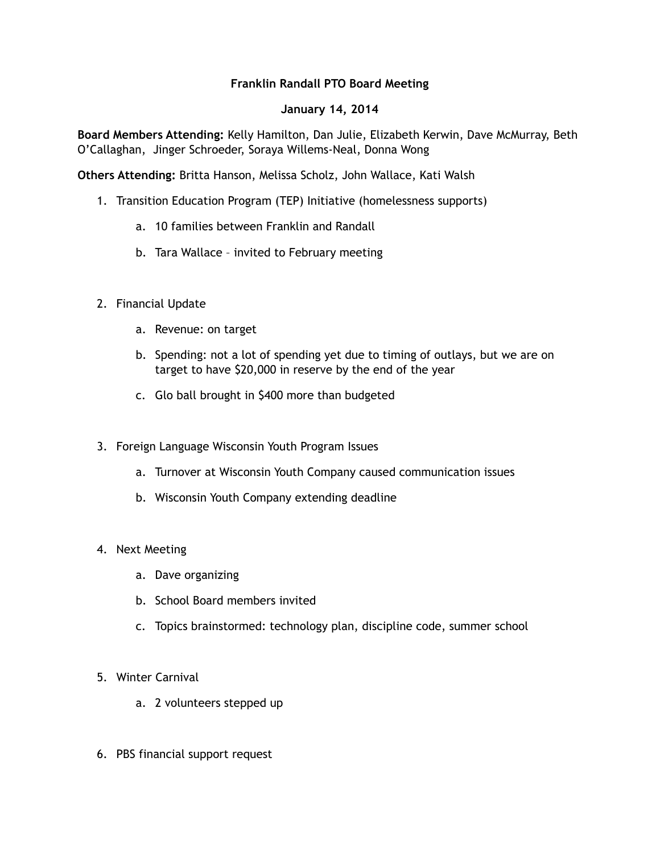## **Franklin Randall PTO Board Meeting**

## **January 14, 2014**

**Board Members Attending:** Kelly Hamilton, Dan Julie, Elizabeth Kerwin, Dave McMurray, Beth O'Callaghan, Jinger Schroeder, Soraya Willems-Neal, Donna Wong

**Others Attending:** Britta Hanson, Melissa Scholz, John Wallace, Kati Walsh

- 1. Transition Education Program (TEP) Initiative (homelessness supports)
	- a. 10 families between Franklin and Randall
	- b. Tara Wallace invited to February meeting
- 2. Financial Update
	- a. Revenue: on target
	- b. Spending: not a lot of spending yet due to timing of outlays, but we are on target to have \$20,000 in reserve by the end of the year
	- c. Glo ball brought in \$400 more than budgeted
- 3. Foreign Language Wisconsin Youth Program Issues
	- a. Turnover at Wisconsin Youth Company caused communication issues
	- b. Wisconsin Youth Company extending deadline

## 4. Next Meeting

- a. Dave organizing
- b. School Board members invited
- c. Topics brainstormed: technology plan, discipline code, summer school
- 5. Winter Carnival
	- a. 2 volunteers stepped up
- 6. PBS financial support request